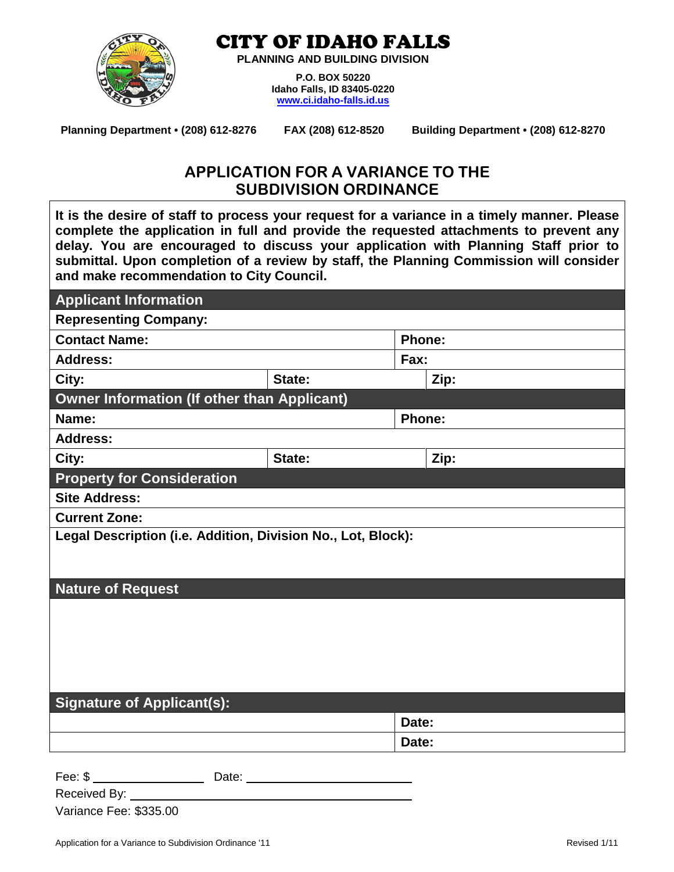

CITY OF IDAHO FALLS

**PLANNING AND BUILDING DIVISION**

**P.O. BOX 50220 Idaho Falls, ID 83405-0220 [www.ci.idaho-falls.id.us](http://www.ci.idaho-falls.id.us/)**

**Planning Department • (208) 612-8276 FAX (208) 612-8520 Building Department • (208) 612-8270**

# **APPLICATION FOR A VARIANCE TO THE SUBDIVISION ORDINANCE**

**It is the desire of staff to process your request for a variance in a timely manner. Please complete the application in full and provide the requested attachments to prevent any delay. You are encouraged to discuss your application with Planning Staff prior to submittal. Upon completion of a review by staff, the Planning Commission will consider and make recommendation to City Council.**

| <b>Applicant Information</b>                                 |        |               |               |  |  |  |
|--------------------------------------------------------------|--------|---------------|---------------|--|--|--|
| <b>Representing Company:</b>                                 |        |               |               |  |  |  |
| <b>Contact Name:</b>                                         |        | <b>Phone:</b> |               |  |  |  |
| <b>Address:</b>                                              |        | Fax:          |               |  |  |  |
| City:                                                        | State: |               | Zip:          |  |  |  |
| <b>Owner Information (If other than Applicant)</b>           |        |               |               |  |  |  |
| Name:                                                        |        |               | <b>Phone:</b> |  |  |  |
| <b>Address:</b>                                              |        |               |               |  |  |  |
| City:                                                        | State: |               | Zip:          |  |  |  |
| <b>Property for Consideration</b>                            |        |               |               |  |  |  |
| <b>Site Address:</b>                                         |        |               |               |  |  |  |
| <b>Current Zone:</b>                                         |        |               |               |  |  |  |
| Legal Description (i.e. Addition, Division No., Lot, Block): |        |               |               |  |  |  |
|                                                              |        |               |               |  |  |  |
| <b>Nature of Request</b>                                     |        |               |               |  |  |  |
|                                                              |        |               |               |  |  |  |
|                                                              |        |               |               |  |  |  |
|                                                              |        |               |               |  |  |  |
|                                                              |        |               |               |  |  |  |
|                                                              |        |               |               |  |  |  |
| <b>Signature of Applicant(s):</b>                            |        |               |               |  |  |  |
|                                                              |        | Date:         |               |  |  |  |
|                                                              |        | Date:         |               |  |  |  |
| Fee: \$<br>Date:                                             |        |               |               |  |  |  |

Variance Fee: \$335.00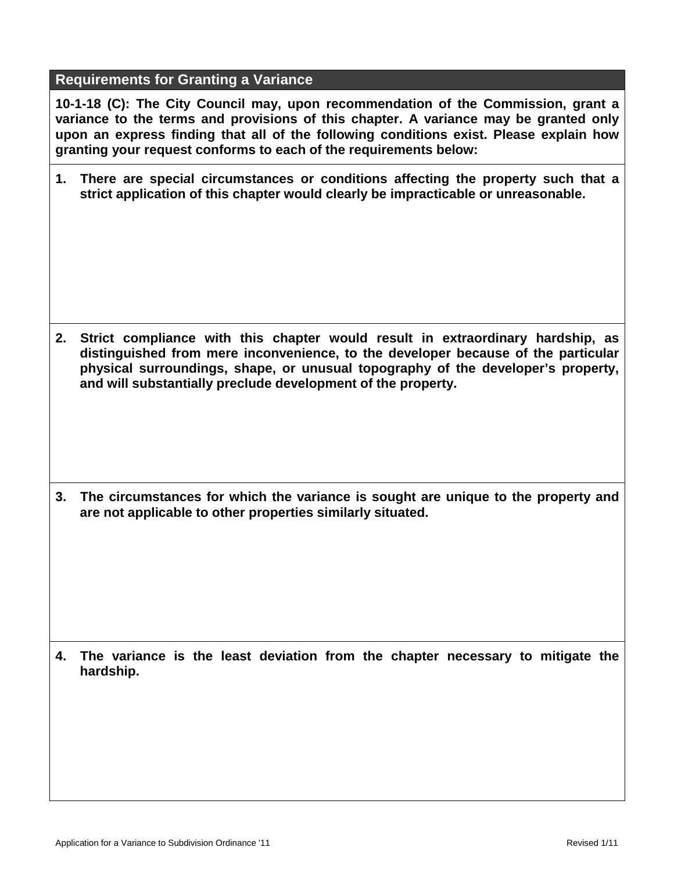#### **Requirements for Granting a Variance**

**10-1-18 (C): The City Council may, upon recommendation of the Commission, grant a variance to the terms and provisions of this chapter. A variance may be granted only upon an express finding that all of the following conditions exist. Please explain how granting your request conforms to each of the requirements below:**

**1. There are speci***a***l circumstances or conditions affecting the property such that a strict application of this chapter would clearly be impracticable or unreasonable.**

**2. Strict compliance with this chapter would result in extraordinary hardship, as distinguished from mere inconvenience, to the developer because of the particular physical surroundings, shape, or unusual topography of the developer's property, and will substantially preclude development of the property.**

**3. The circumstances for which the variance is sought are unique to the property and are not applicable to other properties similarly situated.**

**4. The variance is the least deviation from the chapter necessary to mitigate the hardship.**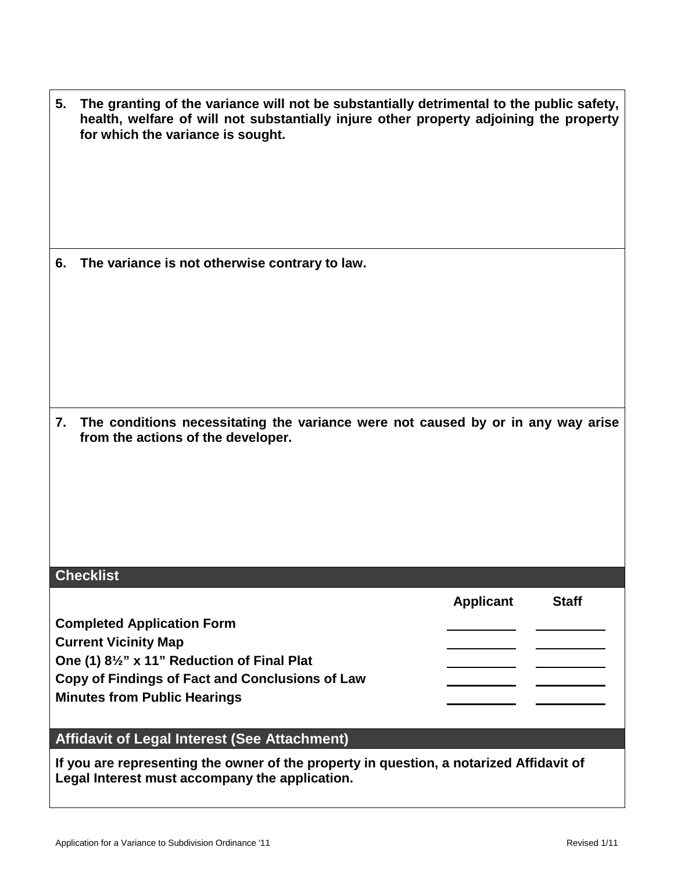| 5. The granting of the variance will not be substantially detrimental to the public safety, |
|---------------------------------------------------------------------------------------------|
| health, welfare of will not substantially injure other property adjoining the property      |
| for which the variance is sought.                                                           |

**6. The variance is not otherwise contrary to law.**

**7. The conditions necessitating the variance were not caused by or in any way arise from the actions of the developer.**

### **Checklist**

**Applicant Staff Completed Application Form Current Vicinity Map One (1) 8½" x 11" Reduction of Final Plat Copy of Findings of Fact and Conclusions of Law Minutes from Public Hearings**

### **Affidavit of Legal Interest (See Attachment)**

**If you are representing the owner of the property in question, a notarized Affidavit of Legal Interest must accompany the application.**